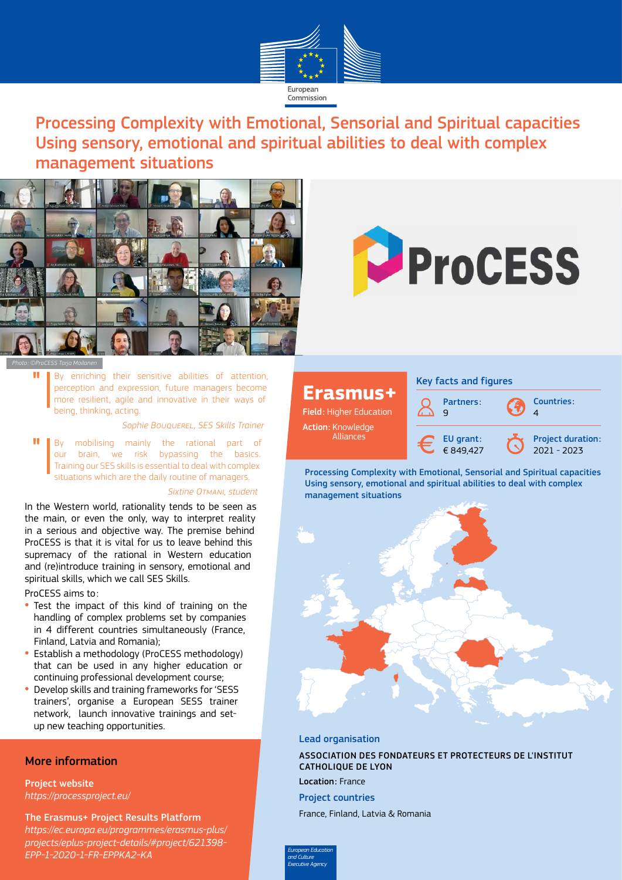

Processing Complexity with Emotional, Sensorial and Spiritual capacities Using sensory, emotional and spiritual abilities to deal with complex management situations





*Photo : ©ProCESS Tarja Moilanen*

"

By enriching their sensitive abilities of attention, perception and expression, future managers become more resilient, agile and innovative in their ways of being, thinking, acting.

*Sophie Bouquerel, SES Skills Trainer*

**II** By mobilising mainly the rational part of our brain, we risk bypassing the basics.<br>Training our CEC dille is essential to dool with complex our brain, we risk bypassing the basics. Training our SES skills is essential to deal with complex situations which are the daily routine of managers.

#### *Sixtine Otmani, student*

In the Western world, rationality tends to be seen as the main, or even the only, way to interpret reality in a serious and objective way. The premise behind ProCESS is that it is vital for us to leave behind this supremacy of the rational in Western education and (re)introduce training in sensory, emotional and spiritual skills, which we call SES Skills.

ProCESS aims to:

- Test the impact of this kind of training on the handling of complex problems set by companies in 4 different countries simultaneously (France, Finland, Latvia and Romania);
- Establish a methodology (ProCESS methodology) that can be used in any higher education or continuing professional development course;
- Develop skills and training frameworks for 'SESS trainers', organise a European SESS trainer network, launch innovative trainings and setup new teaching opportunities.

### More information

Project website

*<https://processproject.eu/>*

The Erasmus+ Project Results Platform

*[https://ec.europa.eu/programmes/erasmus-plus/](https://ec.europa.eu/programmes/erasmus-plus/projects/eplus-project-details/#project/621398-EPP-1-2020-1-FR-EPPKA2-KA) [projects/eplus-project-details/#project/621398-](https://ec.europa.eu/programmes/erasmus-plus/projects/eplus-project-details/#project/621398-EPP-1-2020-1-FR-EPPKA2-KA) [EPP-1-2020-1-FR-EPPKA2-KA](https://ec.europa.eu/programmes/erasmus-plus/projects/eplus-project-details/#project/621398-EPP-1-2020-1-FR-EPPKA2-KA)*

## **Erasmus+**

Field: Higher Education Action: Knowledge Alliances

Key facts and figures



Processing Complexity with Emotional, Sensorial and Spiritual capacities Using sensory, emotional and spiritual abilities to deal with complex management situations



### Lead organisation

ASSOCIATION DES FONDATEURS ET PROTECTEURS DE L'INSTITUT CATHOLIQUE DE LYON Location: France

Project countries

France, Finland, Latvia & Romania

*European Education and Culture Executive Agency*